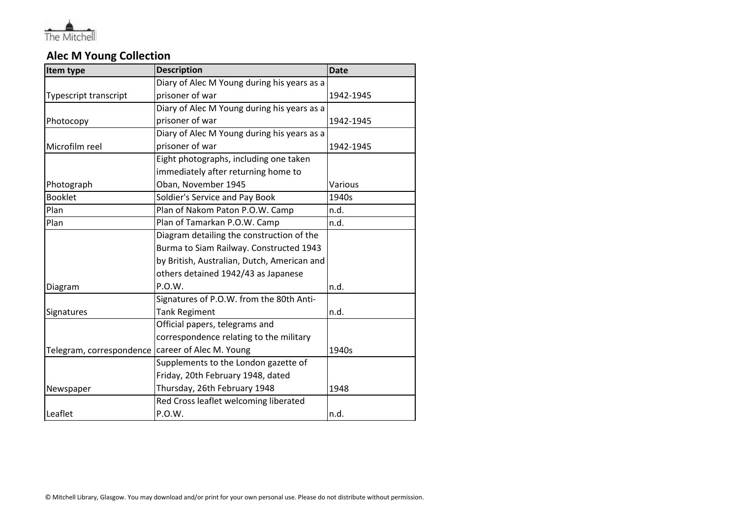

## **Alec M Young Collection**

| Item type                | <b>Description</b>                          | <b>Date</b> |
|--------------------------|---------------------------------------------|-------------|
|                          | Diary of Alec M Young during his years as a |             |
| Typescript transcript    | prisoner of war                             | 1942-1945   |
|                          | Diary of Alec M Young during his years as a |             |
| Photocopy                | prisoner of war                             | 1942-1945   |
|                          | Diary of Alec M Young during his years as a |             |
| Microfilm reel           | prisoner of war                             | 1942-1945   |
|                          | Eight photographs, including one taken      |             |
|                          | immediately after returning home to         |             |
| Photograph               | Oban, November 1945                         | Various     |
| <b>Booklet</b>           | Soldier's Service and Pay Book              | 1940s       |
| Plan                     | Plan of Nakom Paton P.O.W. Camp             | n.d.        |
| Plan                     | Plan of Tamarkan P.O.W. Camp                | n.d.        |
|                          | Diagram detailing the construction of the   |             |
|                          | Burma to Siam Railway. Constructed 1943     |             |
|                          | by British, Australian, Dutch, American and |             |
|                          | others detained 1942/43 as Japanese         |             |
| Diagram                  | P.O.W.                                      | n.d.        |
|                          | Signatures of P.O.W. from the 80th Anti-    |             |
| Signatures               | <b>Tank Regiment</b>                        | n.d.        |
|                          | Official papers, telegrams and              |             |
|                          | correspondence relating to the military     |             |
| Telegram, correspondence | career of Alec M. Young                     | 1940s       |
|                          | Supplements to the London gazette of        |             |
|                          | Friday, 20th February 1948, dated           |             |
| Newspaper                | Thursday, 26th February 1948                | 1948        |
|                          | Red Cross leaflet welcoming liberated       |             |
| Leaflet                  | P.O.W.                                      | n.d.        |